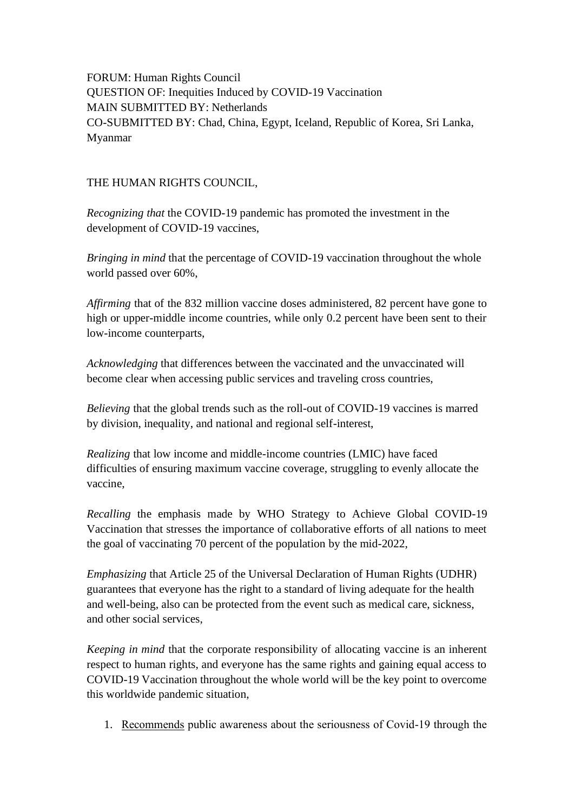FORUM: Human Rights Council QUESTION OF: Inequities Induced by COVID-19 Vaccination MAIN SUBMITTED BY: Netherlands CO-SUBMITTED BY: Chad, China, Egypt, Iceland, Republic of Korea, Sri Lanka, Myanmar

## THE HUMAN RIGHTS COUNCIL,

*Recognizing that* the COVID-19 pandemic has promoted the investment in the development of COVID-19 vaccines,

*Bringing in mind* that the percentage of COVID-19 vaccination throughout the whole world passed over 60%,

*Affirming* that of the 832 million vaccine doses administered, 82 percent have gone to high or upper-middle income countries, while only 0.2 percent have been sent to their low-income counterparts,

*Acknowledging* that differences between the vaccinated and the unvaccinated will become clear when accessing public services and traveling cross countries,

*Believing* that the global trends such as the roll-out of COVID-19 vaccines is marred by division, inequality, and national and regional self-interest,

*Realizing* that low income and middle-income countries (LMIC) have faced difficulties of ensuring maximum vaccine coverage, struggling to evenly allocate the vaccine,

*Recalling* the emphasis made by WHO Strategy to Achieve Global COVID-19 Vaccination that stresses the importance of collaborative efforts of all nations to meet the goal of vaccinating 70 percent of the population by the mid-2022,

*Emphasizing* that Article 25 of the Universal Declaration of Human Rights (UDHR) guarantees that everyone has the right to a standard of living adequate for the health and well-being, also can be protected from the event such as medical care, sickness, and other social services,

*Keeping in mind* that the corporate responsibility of allocating vaccine is an inherent respect to human rights, and everyone has the same rights and gaining equal access to COVID-19 Vaccination throughout the whole world will be the key point to overcome this worldwide pandemic situation,

1. Recommends public awareness about the seriousness of Covid-19 through the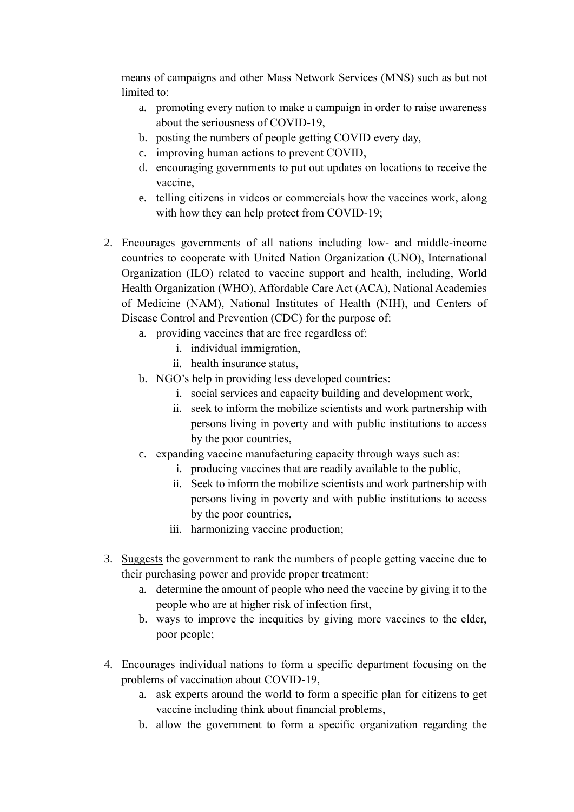means of campaigns and other Mass Network Services (MNS) such as but not limited to:

- a. promoting every nation to make a campaign in order to raise awareness about the seriousness of COVID-19,
- b. posting the numbers of people getting COVID every day,
- c. improving human actions to prevent COVID,
- d. encouraging governments to put out updates on locations to receive the vaccine,
- e. telling citizens in videos or commercials how the vaccines work, along with how they can help protect from COVID-19;
- 2. Encourages governments of all nations including low- and middle-income countries to cooperate with United Nation Organization (UNO), International Organization (ILO) related to vaccine support and health, including, World Health Organization (WHO), Affordable Care Act (ACA), National Academies of Medicine (NAM), National Institutes of Health (NIH), and Centers of Disease Control and Prevention (CDC) for the purpose of:
	- a. providing vaccines that are free regardless of:
		- i. individual immigration,
		- ii. health insurance status,
	- b. NGO's help in providing less developed countries:
		- i. social services and capacity building and development work,
		- ii. seek to inform the mobilize scientists and work partnership with persons living in poverty and with public institutions to access by the poor countries,
	- c. expanding vaccine manufacturing capacity through ways such as:
		- i. producing vaccines that are readily available to the public,
		- ii. Seek to inform the mobilize scientists and work partnership with persons living in poverty and with public institutions to access by the poor countries,
		- iii. harmonizing vaccine production;
- 3. Suggests the government to rank the numbers of people getting vaccine due to their purchasing power and provide proper treatment:
	- a. determine the amount of people who need the vaccine by giving it to the people who are at higher risk of infection first,
	- b. ways to improve the inequities by giving more vaccines to the elder, poor people;
- 4. Encourages individual nations to form a specific department focusing on the problems of vaccination about COVID-19,
	- a. ask experts around the world to form a specific plan for citizens to get vaccine including think about financial problems,
	- b. allow the government to form a specific organization regarding the